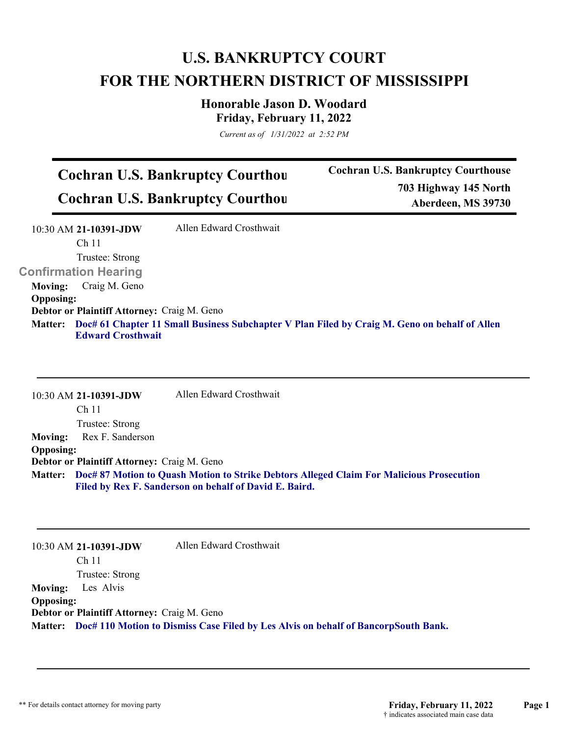## **U.S. BANKRUPTCY COURT FOR THE NORTHERN DISTRICT OF MISSISSIPPI**

## **Honorable Jason D. Woodard Friday, February 11, 2022**

*Current as of 1/31/2022 at 2:52 PM*

## **Cochran U.S. Bankruptcy Courthou Cochran U.S. Bankruptcy Courthou**

**Cochran U.S. Bankruptcy Courthouse 703 Highway 145 North Aberdeen, MS 39730**

|                                             | 10:30 AM 21-10391-JDW       | Allen Edward Crosthwait                                                                       |  |  |
|---------------------------------------------|-----------------------------|-----------------------------------------------------------------------------------------------|--|--|
|                                             | Ch <sub>11</sub>            |                                                                                               |  |  |
|                                             | Trustee: Strong             |                                                                                               |  |  |
|                                             | <b>Confirmation Hearing</b> |                                                                                               |  |  |
| <b>Moving:</b>                              | Craig M. Geno               |                                                                                               |  |  |
| <b>Opposing:</b>                            |                             |                                                                                               |  |  |
| Debtor or Plaintiff Attorney: Craig M. Geno |                             |                                                                                               |  |  |
| <b>Matter:</b>                              |                             | Doc# 61 Chapter 11 Small Business Subchapter V Plan Filed by Craig M. Geno on behalf of Allen |  |  |
|                                             | <b>Edward Crosthwait</b>    |                                                                                               |  |  |

10:30 AM **21-10391-JDW**  Ch 11 Trustee: Strong Allen Edward Crosthwait **Moving:** Rex F. Sanderson **Opposing: Debtor or Plaintiff Attorney:** Craig M. Geno **Doc# 87 Motion to Quash Motion to Strike Debtors Alleged Claim For Malicious Prosecution Matter: Filed by Rex F. Sanderson on behalf of David E. Baird.**

|                                                    | 10:30 AM 21-10391-JDW    | Allen Edward Crosthwait                                                                    |  |  |
|----------------------------------------------------|--------------------------|--------------------------------------------------------------------------------------------|--|--|
|                                                    | Ch 11                    |                                                                                            |  |  |
|                                                    | Trustee: Strong          |                                                                                            |  |  |
|                                                    | <b>Moving:</b> Les Alvis |                                                                                            |  |  |
| <b>Opposing:</b>                                   |                          |                                                                                            |  |  |
| <b>Debtor or Plaintiff Attorney: Craig M. Geno</b> |                          |                                                                                            |  |  |
|                                                    |                          | Matter: Doc# 110 Motion to Dismiss Case Filed by Les Alvis on behalf of BancorpSouth Bank. |  |  |